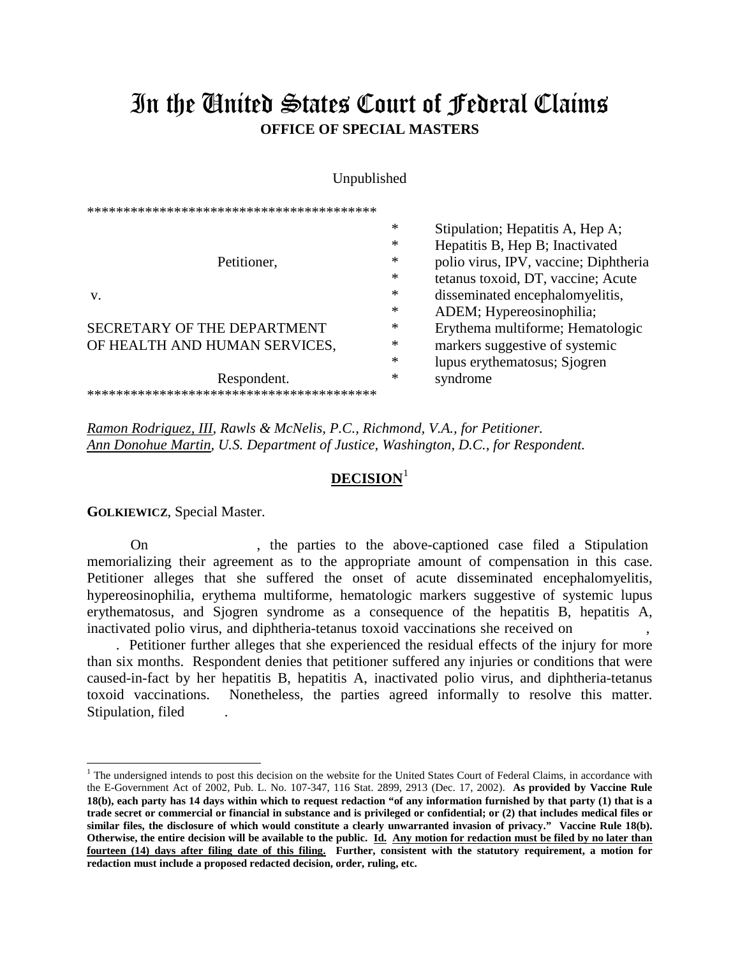## In the United States Court of Federal Claims **OFFICE OF SPECIAL MASTERS**

## Unpublished

\*\*\*\*\*\*\*\*\*\*\*\*\*\*\*\*\*\*\*\*\*\*\*\*\*\*\*\*\*\*\*\*\*\*\*\*\*\*\*\* \* Stipulation; Hepatitis A, Hep A; \* Hepatitis B, Hep B; Inactivated Petitioner,  $*$  polio virus, IPV, vaccine; Diphtheria \* tetanus toxoid, DT, vaccine; Acute v. the contract of the contract of the contract of the contract of the contract of the contract of the contract of the contract of the contract of the contract of the contract of the contract of the contract of the contrac \* ADEM; Hypereosinophilia;<br>Frythema multiforme: Hema SECRETARY OF THE DEPARTMENT  $*$  Erythema multiforme; Hematologic OF HEALTH AND HUMAN SERVICES, warranties and markers suggestive of systemic \* lupus erythematosus; Sjogren Respondent.  $*$  syndrome \*\*\*\*\*\*\*\*\*\*\*\*\*\*\*\*\*\*\*\*\*\*\*\*\*\*\*\*\*\*\*\*\*\*\*\*\*\*\*\*

*Ramon Rodriguez, III, Rawls & McNelis, P.C., Richmond, V.A., for Petitioner. Ann Donohue Martin, U.S. Department of Justice, Washington, D.C., for Respondent.*

## **DECISION**[1](#page-0-0)

**GOLKIEWICZ**, Special Master.

 $\overline{a}$ 

On , the parties to the above-captioned case filed a Stipulation memorializing their agreement as to the appropriate amount of compensation in this case. Petitioner alleges that she suffered the onset of acute disseminated encephalomyelitis, hypereosinophilia, erythema multiforme, hematologic markers suggestive of systemic lupus erythematosus, and Sjogren syndrome as a consequence of the hepatitis B, hepatitis A, inactivated polio virus, and diphtheria-tetanus toxoid vaccinations she received on ,

 . Petitioner further alleges that she experienced the residual effects of the injury for more than six months. Respondent denies that petitioner suffered any injuries or conditions that were caused-in-fact by her hepatitis B, hepatitis A, inactivated polio virus, and diphtheria-tetanus toxoid vaccinations. Nonetheless, the parties agreed informally to resolve this matter. Stipulation, filed

<span id="page-0-0"></span> $<sup>1</sup>$  The undersigned intends to post this decision on the website for the United States Court of Federal Claims, in accordance with</sup> the E-Government Act of 2002, Pub. L. No. 107-347, 116 Stat. 2899, 2913 (Dec. 17, 2002). **As provided by Vaccine Rule 18(b), each party has 14 days within which to request redaction "of any information furnished by that party (1) that is a trade secret or commercial or financial in substance and is privileged or confidential; or (2) that includes medical files or similar files, the disclosure of which would constitute a clearly unwarranted invasion of privacy." Vaccine Rule 18(b). Otherwise, the entire decision will be available to the public. Id. Any motion for redaction must be filed by no later than fourteen (14) days after filing date of this filing. Further, consistent with the statutory requirement, a motion for redaction must include a proposed redacted decision, order, ruling, etc.**